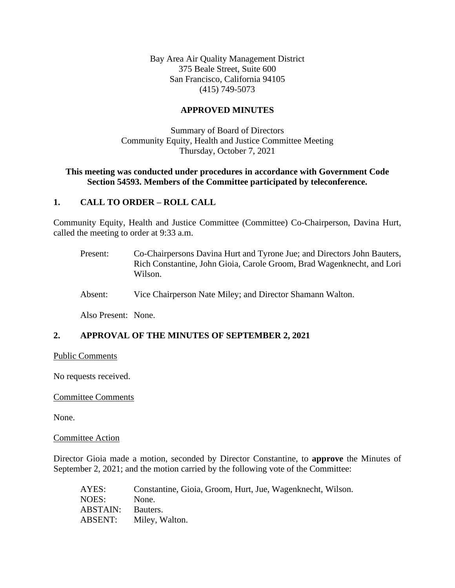Bay Area Air Quality Management District 375 Beale Street, Suite 600 San Francisco, California 94105 (415) 749-5073

# **APPROVED MINUTES**

Summary of Board of Directors Community Equity, Health and Justice Committee Meeting Thursday, October 7, 2021

# **This meeting was conducted under procedures in accordance with Government Code Section 54593. Members of the Committee participated by teleconference.**

# **1. CALL TO ORDER – ROLL CALL**

Community Equity, Health and Justice Committee (Committee) Co-Chairperson, Davina Hurt, called the meeting to order at 9:33 a.m.

- Present: Co-Chairpersons Davina Hurt and Tyrone Jue; and Directors John Bauters, Rich Constantine, John Gioia, Carole Groom, Brad Wagenknecht, and Lori Wilson.
- Absent: Vice Chairperson Nate Miley; and Director Shamann Walton.

Also Present: None.

# **2. APPROVAL OF THE MINUTES OF SEPTEMBER 2, 2021**

#### Public Comments

No requests received.

### Committee Comments

None.

#### Committee Action

Director Gioia made a motion, seconded by Director Constantine, to **approve** the Minutes of September 2, 2021; and the motion carried by the following vote of the Committee:

| AYES:    | Constantine, Gioia, Groom, Hurt, Jue, Wagenknecht, Wilson. |
|----------|------------------------------------------------------------|
| NOES:    | None.                                                      |
| ABSTAIN: | Bauters.                                                   |
| ABSENT:  | Miley, Walton.                                             |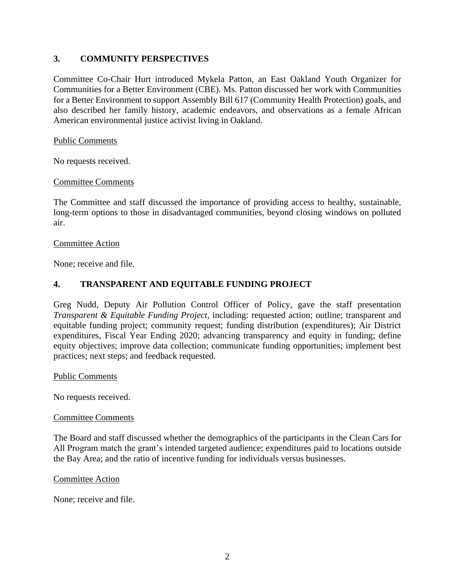# **3. COMMUNITY PERSPECTIVES**

Committee Co-Chair Hurt introduced Mykela Patton, an East Oakland Youth Organizer for Communities for a Better Environment (CBE). Ms. Patton discussed her work with Communities for a Better Environment to support Assembly Bill 617 (Community Health Protection) goals, and also described her family history, academic endeavors, and observations as a female African American environmental justice activist living in Oakland.

### Public Comments

No requests received.

#### Committee Comments

The Committee and staff discussed the importance of providing access to healthy, sustainable, long-term options to those in disadvantaged communities, beyond closing windows on polluted air.

#### Committee Action

None; receive and file.

# **4. TRANSPARENT AND EQUITABLE FUNDING PROJECT**

Greg Nudd, Deputy Air Pollution Control Officer of Policy, gave the staff presentation *Transparent & Equitable Funding Project,* including: requested action; outline; transparent and equitable funding project; community request; funding distribution (expenditures); Air District expenditures, Fiscal Year Ending 2020; advancing transparency and equity in funding; define equity objectives; improve data collection; communicate funding opportunities; implement best practices; next steps; and feedback requested.

Public Comments

No requests received.

#### Committee Comments

The Board and staff discussed whether the demographics of the participants in the Clean Cars for All Program match the grant's intended targeted audience; expenditures paid to locations outside the Bay Area; and the ratio of incentive funding for individuals versus businesses.

#### Committee Action

None; receive and file.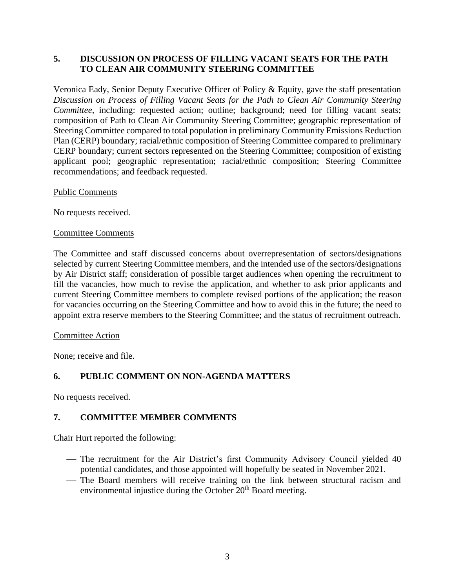# **5. DISCUSSION ON PROCESS OF FILLING VACANT SEATS FOR THE PATH TO CLEAN AIR COMMUNITY STEERING COMMITTEE**

Veronica Eady, Senior Deputy Executive Officer of Policy & Equity, gave the staff presentation *Discussion on Process of Filling Vacant Seats for the Path to Clean Air Community Steering Committee*, including: requested action; outline; background; need for filling vacant seats; composition of Path to Clean Air Community Steering Committee; geographic representation of Steering Committee compared to total population in preliminary Community Emissions Reduction Plan (CERP) boundary; racial/ethnic composition of Steering Committee compared to preliminary CERP boundary; current sectors represented on the Steering Committee; composition of existing applicant pool; geographic representation; racial/ethnic composition; Steering Committee recommendations; and feedback requested.

### Public Comments

No requests received.

### Committee Comments

The Committee and staff discussed concerns about overrepresentation of sectors/designations selected by current Steering Committee members, and the intended use of the sectors/designations by Air District staff; consideration of possible target audiences when opening the recruitment to fill the vacancies, how much to revise the application, and whether to ask prior applicants and current Steering Committee members to complete revised portions of the application; the reason for vacancies occurring on the Steering Committee and how to avoid this in the future; the need to appoint extra reserve members to the Steering Committee; and the status of recruitment outreach.

### Committee Action

None; receive and file.

# **6. PUBLIC COMMENT ON NON-AGENDA MATTERS**

No requests received.

# **7. COMMITTEE MEMBER COMMENTS**

Chair Hurt reported the following:

- The recruitment for the Air District's first Community Advisory Council yielded 40 potential candidates, and those appointed will hopefully be seated in November 2021.
- The Board members will receive training on the link between structural racism and environmental injustice during the October  $20<sup>th</sup>$  Board meeting.